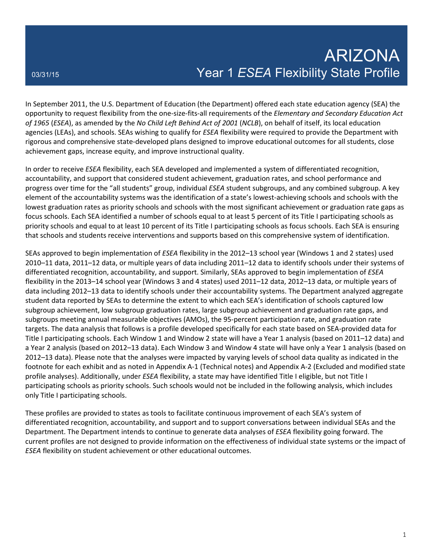In September 2011, the U.S. Department of Education (the Department) offered each state education agency (SEA) the opportunity to request flexibility from the one-size-fits-all requirements of the *Elementary and Secondary Education Act of 1965* (*ESEA*), as amended by the *No Child Left Behind Act of 2001* (*NCLB*), on behalf of itself, its local education agencies (LEAs), and schools. SEAs wishing to qualify for *ESEA* flexibility were required to provide the Department with rigorous and comprehensive state-developed plans designed to improve educational outcomes for all students, close achievement gaps, increase equity, and improve instructional quality.

In order to receive *ESEA* flexibility, each SEA developed and implemented a system of differentiated recognition, accountability, and support that considered student achievement, graduation rates, and school performance and progress over time for the "all students" group, individual *ESEA* student subgroups, and any combined subgroup. A key element of the accountability systems was the identification of a state's lowest-achieving schools and schools with the lowest graduation rates as priority schools and schools with the most significant achievement or graduation rate gaps as focus schools. Each SEA identified a number of schools equal to at least 5 percent of its Title I participating schools as priority schools and equal to at least 10 percent of its Title I participating schools as focus schools. Each SEA is ensuring that schools and students receive interventions and supports based on this comprehensive system of identification.

SEAs approved to begin implementation of *ESEA* flexibility in the 2012–13 school year (Windows 1 and 2 states) used 2010–11 data, 2011–12 data, or multiple years of data including 2011–12 data to identify schools under their systems of differentiated recognition, accountability, and support. Similarly, SEAs approved to begin implementation of *ESEA* flexibility in the 2013–14 school year (Windows 3 and 4 states) used 2011–12 data, 2012–13 data, or multiple years of data including 2012–13 data to identify schools under their accountability systems. The Department analyzed aggregate student data reported by SEAs to determine the extent to which each SEA's identification of schools captured low subgroup achievement, low subgroup graduation rates, large subgroup achievement and graduation rate gaps, and subgroups meeting annual measurable objectives (AMOs), the 95-percent participation rate, and graduation rate targets. The data analysis that follows is a profile developed specifically for each state based on SEA-provided data for Title I participating schools. Each Window 1 and Window 2 state will have a Year 1 analysis (based on 2011–12 data) and a Year 2 analysis (based on 2012–13 data). Each Window 3 and Window 4 state will have only a Year 1 analysis (based on 2012–13 data). Please note that the analyses were impacted by varying levels of school data quality as indicated in the footnote for each exhibit and as noted in Appendix A-1 (Technical notes) and Appendix A-2 (Excluded and modified state profile analyses). Additionally, under *ESEA* flexibility, a state may have identified Title I eligible, but not Title I participating schools as priority schools. Such schools would not be included in the following analysis, which includes only Title I participating schools.

These profiles are provided to states as tools to facilitate continuous improvement of each SEA's system of differentiated recognition, accountability, and support and to support conversations between individual SEAs and the Department. The Department intends to continue to generate data analyses of *ESEA* flexibility going forward. The current profiles are not designed to provide information on the effectiveness of individual state systems or the impact of *ESEA* flexibility on student achievement or other educational outcomes.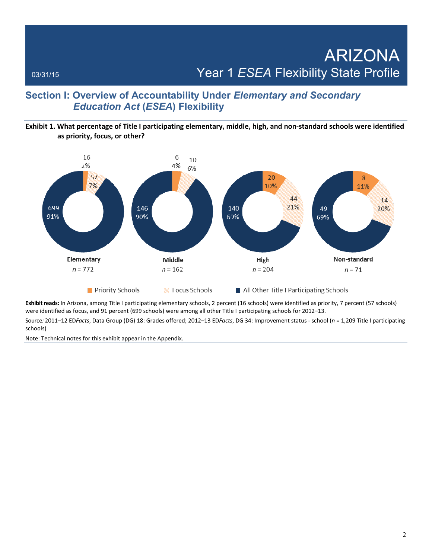## **Section I: Overview of Accountability Under** *Elementary and Secondary Education Act* **(***ESEA***) Flexibility**

## **Exhibit 1. What percentage of Title I participating elementary, middle, high, and non-standard schools were identified as priority, focus, or other?**



**Exhibit reads:** In Arizona, among Title I participating elementary schools, 2 percent (16 schools) were identified as priority, 7 percent (57 schools) were identified as focus, and 91 percent (699 schools) were among all other Title I participating schools for 2012–13.

Source*:* 2011–12 ED*Facts*, Data Group (DG) 18: Grades offered; 2012–13 ED*Facts*, DG 34: Improvement status - school (*n* = 1,209 Title I participating schools)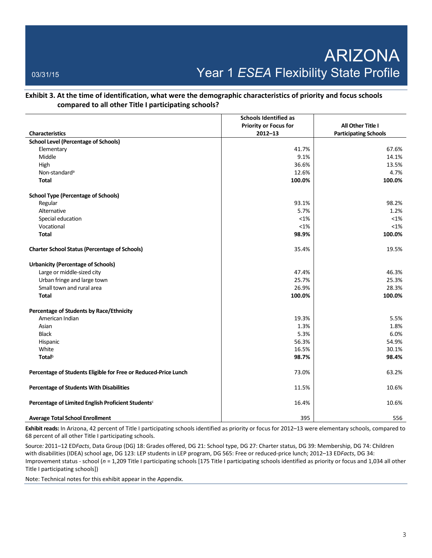**Exhibit 3. At the time of identification, what were the demographic characteristics of priority and focus schools compared to all other Title I participating schools?** 

|                                                                 | <b>Schools Identified as</b> |                              |
|-----------------------------------------------------------------|------------------------------|------------------------------|
|                                                                 | <b>Priority or Focus for</b> | All Other Title I            |
| <b>Characteristics</b>                                          | $2012 - 13$                  | <b>Participating Schools</b> |
| <b>School Level (Percentage of Schools)</b>                     |                              |                              |
| Elementary                                                      | 41.7%                        | 67.6%                        |
| Middle                                                          | 9.1%                         | 14.1%                        |
| High                                                            | 36.6%                        | 13.5%                        |
| Non-standard <sup>a</sup>                                       | 12.6%                        | 4.7%                         |
| <b>Total</b>                                                    | 100.0%                       | 100.0%                       |
| <b>School Type (Percentage of Schools)</b>                      |                              |                              |
| Regular                                                         | 93.1%                        | 98.2%                        |
| Alternative                                                     | 5.7%                         | 1.2%                         |
| Special education                                               | $< 1\%$                      | $<1\%$                       |
| Vocational                                                      | $< 1\%$                      | $< 1\%$                      |
| <b>Total</b>                                                    | 98.9%                        | 100.0%                       |
| <b>Charter School Status (Percentage of Schools)</b>            | 35.4%                        | 19.5%                        |
| <b>Urbanicity (Percentage of Schools)</b>                       |                              |                              |
| Large or middle-sized city                                      | 47.4%                        | 46.3%                        |
| Urban fringe and large town                                     | 25.7%                        | 25.3%                        |
| Small town and rural area                                       | 26.9%                        | 28.3%                        |
| <b>Total</b>                                                    | 100.0%                       | 100.0%                       |
| Percentage of Students by Race/Ethnicity                        |                              |                              |
| American Indian                                                 | 19.3%                        | 5.5%                         |
| Asian                                                           | 1.3%                         | 1.8%                         |
| <b>Black</b>                                                    | 5.3%                         | 6.0%                         |
| Hispanic                                                        | 56.3%                        | 54.9%                        |
| White                                                           | 16.5%                        | 30.1%                        |
| <b>Total</b> b                                                  | 98.7%                        | 98.4%                        |
| Percentage of Students Eligible for Free or Reduced-Price Lunch | 73.0%                        | 63.2%                        |
| Percentage of Students With Disabilities                        | 11.5%                        | 10.6%                        |
| Percentage of Limited English Proficient Students <sup>c</sup>  | 16.4%                        | 10.6%                        |
| <b>Average Total School Enrollment</b>                          | 395                          | 556                          |

**Exhibit reads:** In Arizona, 42 percent of Title I participating schools identified as priority or focus for 2012–13 were elementary schools, compared to 68 percent of all other Title I participating schools.

Source*:* 2011–12 ED*Facts*, Data Group (DG) 18: Grades offered, DG 21: School type, DG 27: Charter status, DG 39: Membership, DG 74: Children with disabilities (IDEA) school age, DG 123: LEP students in LEP program, DG 565: Free or reduced-price lunch; 2012–13 ED*Facts*, DG 34: Improvement status - school (*n* = 1,209 Title I participating schools [175 Title I participating schools identified as priority or focus and 1,034 all other Title I participating schools])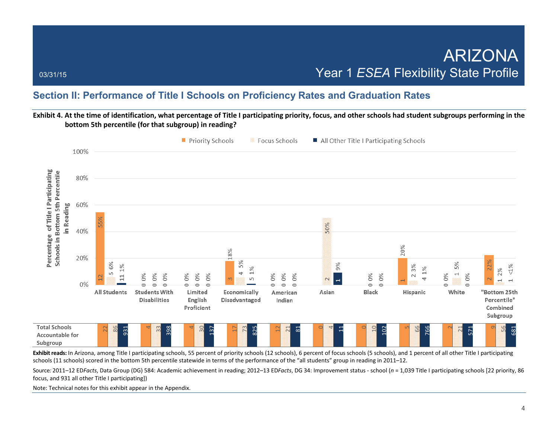## **Section II: Performance of Title I Schools on Proficiency Rates and Graduation Rates**

## **Exhibit 4. At the time of identification, what percentage of Title I participating priority, focus, and other schools had student subgroups performing in the bottom 5th percentile (for that subgroup) in reading?**



schools (11 schools) scored in the bottom 5th percentile statewide in terms of the performance of the "all students" group in reading in 2011–12.

Source*:* 2011–12 ED*Facts*, Data Group (DG) 584: Academic achievement in reading; 2012–13 ED*Facts*, DG 34: Improvement status - school (*n* = 1,039 Title I participating schools [22 priority, 86 focus, and 931 all other Title I participating])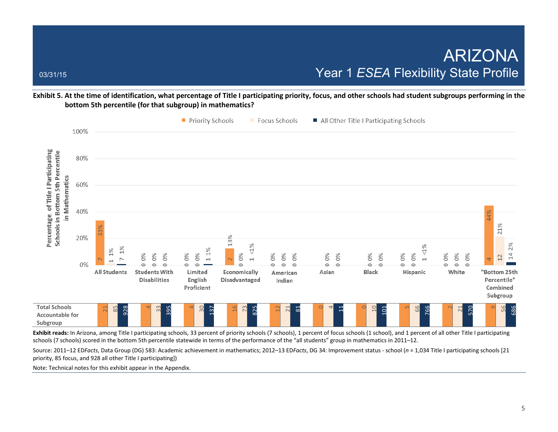**Exhibit 5. At the time of identification, what percentage of Title I participating priority, focus, and other schools had student subgroups performing in the bottom 5th percentile (for that subgroup) in mathematics?**



Exhibit reads: In Arizona, among Title I participating schools, 33 percent of priority schools (7 schools), 1 percent of focus schools (1 school), and 1 percent of all other Title I participating schools (7 schools) scored in the bottom 5th percentile statewide in terms of the performance of the "all students" group in mathematics in 2011–12.

Source: 2011–12 ED*Facts*, Data Group (DG) 583: Academic achievement in mathematics; 2012–13 ED*Facts*, DG 34: Improvement status - school (*n* = 1,034 Title I participating schools [21 priority, 85 focus, and 928 all other Title I participating])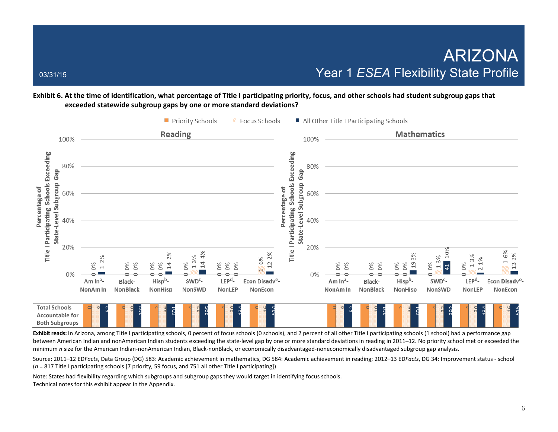## **Exhibit 6. At the time of identification, what percentage of Title I participating priority, focus, and other schools had student subgroup gaps that exceeded statewide subgroup gaps by one or more standard deviations?**



Exhibit reads: In Arizona, among Title I participating schools, 0 percent of focus schools (0 schools), and 2 percent of all other Title I participating schools (1 school) had a performance gap between American Indian and nonAmerican Indian students exceeding the state-level gap by one or more standard deviations in reading in 2011–12. No priority school met or exceeded the minimum *n* size for the American Indian-nonAmerican Indian, Black-nonBlack, or economically disadvantaged-noneconomically disadvantaged subgroup gap analysis.

Source: 2011–12 ED*Facts*, Data Group (DG) 583: Academic achievement in mathematics, DG 584: Academic achievement in reading; 2012–13 ED*Facts*, DG 34: Improvement status - school (*n* = 817 Title I participating schools [7 priority, 59 focus, and 751 all other Title I participating])

Note: States had flexibility regarding which subgroups and subgroup gaps they would target in identifying focus schools. Technical notes for this exhibit appear in the Appendix.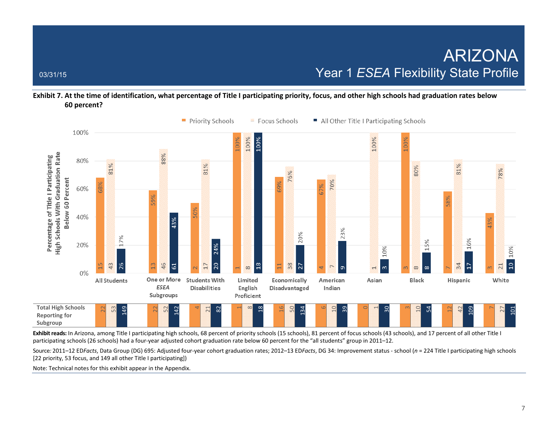## **Exhibit 7. At the time of identification, what percentage of Title I participating priority, focus, and other high schools had graduation rates below 60 percent?**



Exhibit reads: In Arizona, among Title I participating high schools, 68 percent of priority schools (15 schools), 81 percent of focus schools (43 schools), and 17 percent of all other Title I participating schools (26 schools) had a four-year adjusted cohort graduation rate below 60 percent for the "all students" group in 2011–12.

Source*:* 2011–12 ED*Facts*, Data Group (DG) 695: Adjusted four-year cohort graduation rates; 2012–13 ED*Facts*, DG 34: Improvement status - school (*n* = 224 Title I participating high schools [22 priority, 53 focus, and 149 all other Title I participating])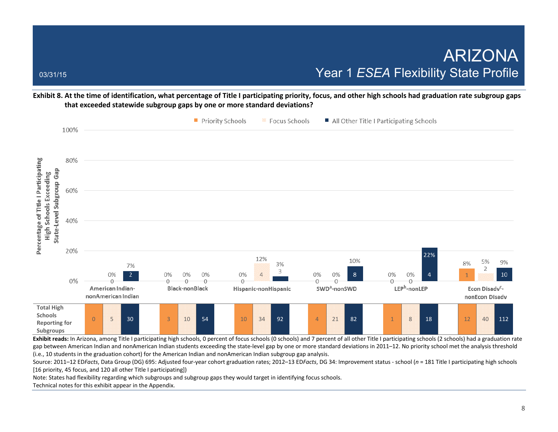**Exhibit 8. At the time of identification, what percentage of Title I participating priority, focus, and other high schools had graduation rate subgroup gaps that exceeded statewide subgroup gaps by one or more standard deviations?** 



gap between American Indian and nonAmerican Indian students exceeding the state-level gap by one or more standard deviations in 2011–12. No priority school met the analysis threshold (i.e., 10 students in the graduation cohort) for the American Indian and nonAmerican Indian subgroup gap analysis.

Source: 2011–12 ED*Facts*, Data Group (DG) 695: Adjusted four-year cohort graduation rates; 2012–13 ED*Facts*, DG 34: Improvement status - school (*n* = 181 Title I participating high schools [16 priority, 45 focus, and 120 all other Title I participating])

Note: States had flexibility regarding which subgroups and subgroup gaps they would target in identifying focus schools.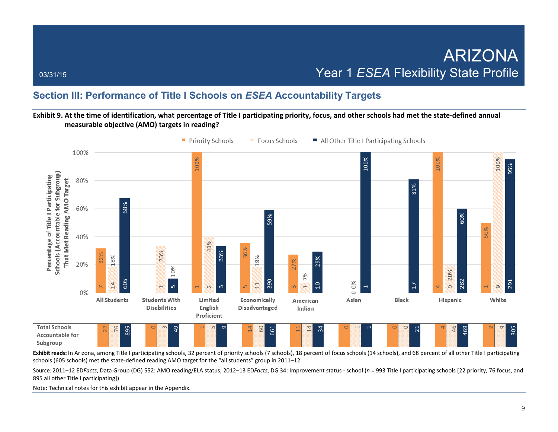## **Section III: Performance of Title I Schools on** *ESEA* **Accountability Targets**

### **Exhibit 9. At the time of identification, what percentage of Title I participating priority, focus, and other schools had met the state-defined annual measurable objective (AMO) targets in reading?**



**Exhibit reads:** In Arizona, among Title I participating schools, 32 percent of priority schools (7 schools), 18 percent of focus schools (14 schools), and 68 percent of all other Title I participating schools (605 schools) met the state-defined reading AMO target for the "all students" group in 2011–12.

Source*:* 2011–12 ED*Facts*, Data Group (DG) 552: AMO reading/ELA status; 2012–13 ED*Facts*, DG 34: Improvement status - school (*n* = 993 Title I participating schools [22 priority, 76 focus, and 895 all other Title I participating])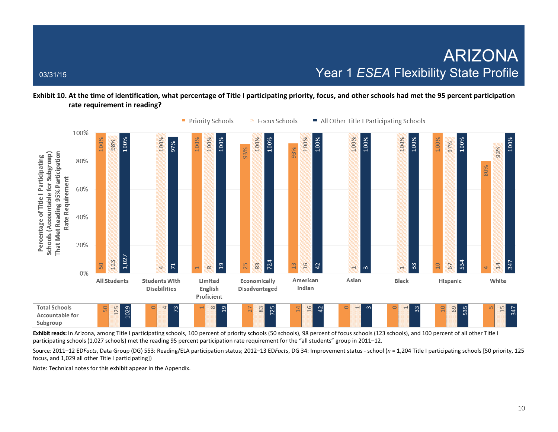**Exhibit 10. At the time of identification, what percentage of Title I participating priority, focus, and other schools had met the 95 percent participation rate requirement in reading?** 



Exhibit reads: In Arizona, among Title I participating schools, 100 percent of priority schools (50 schools), 98 percent of focus schools (123 schools), and 100 percent of all other Title I participating schools (1,027 schools) met the reading 95 percent participation rate requirement for the "all students" group in 2011–12.

Source*:* 2011–12 ED*Facts*, Data Group (DG) 553: Reading/ELA participation status; 2012–13 ED*Facts*, DG 34: Improvement status - school (*n* = 1,204 Title I participating schools [50 priority, 125 focus, and 1,029 all other Title I participating])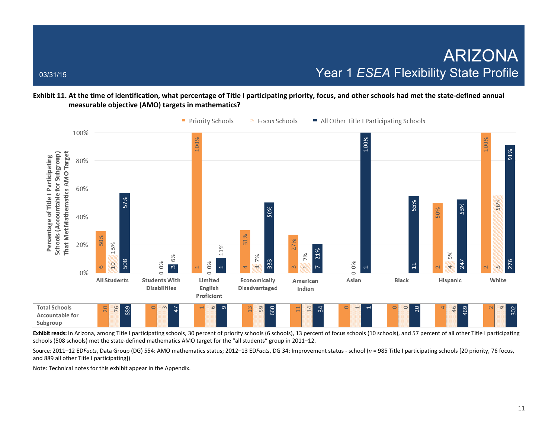**Exhibit 11. At the time of identification, what percentage of Title I participating priority, focus, and other schools had met the state-defined annual measurable objective (AMO) targets in mathematics?** 



Exhibit reads: In Arizona, among Title I participating schools, 30 percent of priority schools (6 schools), 13 percent of focus schools (10 schools), and 57 percent of all other Title I participating schools (508 schools) met the state-defined mathematics AMO target for the "all students" group in 2011–12.

Source*:* 2011–12 ED*Facts*, Data Group (DG) 554: AMO mathematics status; 2012–13 ED*Facts*, DG 34: Improvement status - school (*n* = 985 Title I participating schools [20 priority, 76 focus, and 889 all other Title I participating])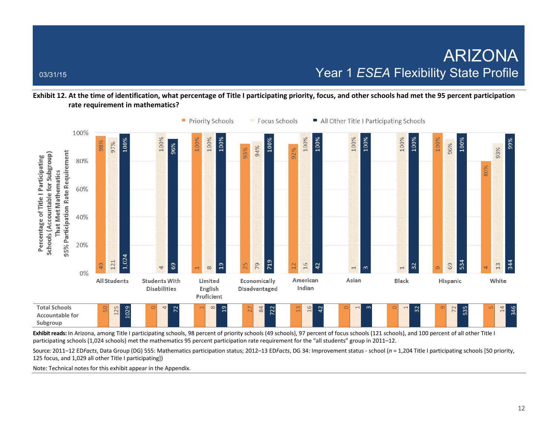**Exhibit 12. At the time of identification, what percentage of Title I participating priority, focus, and other schools had met the 95 percent participation rate requirement in mathematics?** 



Exhibit reads: In Arizona, among Title I participating schools, 98 percent of priority schools (49 schools), 97 percent of focus schools (121 schools), and 100 percent of all other Title I participating schools (1,024 schools) met the mathematics 95 percent participation rate requirement for the "all students" group in 2011–12.

Source*:* 2011–12 ED*Facts*, Data Group (DG) 555: Mathematics participation status; 2012–13 ED*Facts*, DG 34: Improvement status - school (*n* = 1,204 Title I participating schools [50 priority, 125 focus, and 1,029 all other Title I participating])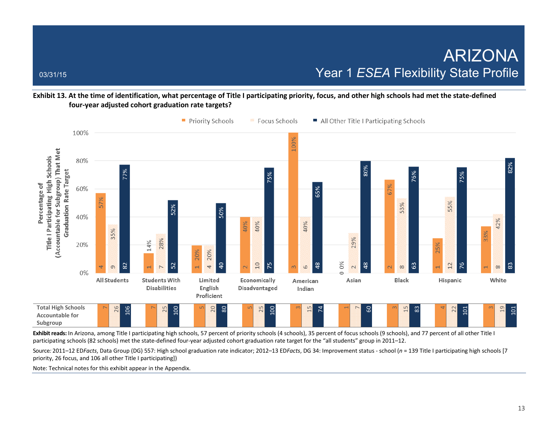**Exhibit 13. At the time of identification, what percentage of Title I participating priority, focus, and other high schools had met the state-defined four-year adjusted cohort graduation rate targets?** 



Exhibit reads: In Arizona, among Title I participating high schools, 57 percent of priority schools (4 schools), 35 percent of focus schools (9 schools), and 77 percent of all other Title I participating schools (82 schools) met the state-defined four-year adjusted cohort graduation rate target for the "all students" group in 2011–12.

Source*:* 2011–12 ED*Facts*, Data Group (DG) 557: High school graduation rate indicator; 2012–13 ED*Facts*, DG 34: Improvement status - school (*n* = 139 Title I participating high schools [7 priority, 26 focus, and 106 all other Title I participating])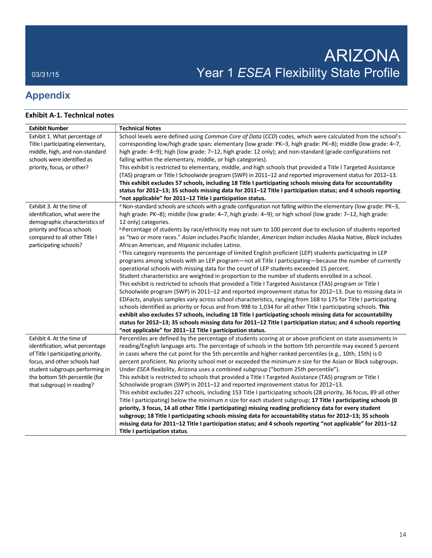# **Appendix**

## **Exhibit A-1. Technical notes**

| <b>Exhibit Number</b>              | <b>Technical Notes</b>                                                                                                       |
|------------------------------------|------------------------------------------------------------------------------------------------------------------------------|
| Exhibit 1. What percentage of      | School levels were defined using Common Core of Data (CCD) codes, which were calculated from the school's                    |
| Title I participating elementary,  | corresponding low/high grade span: elementary (low grade: PK-3, high grade: PK-8); middle (low grade: 4–7,                   |
| middle, high, and non-standard     | high grade: 4-9); high (low grade: 7-12, high grade: 12 only); and non-standard (grade configurations not                    |
| schools were identified as         | falling within the elementary, middle, or high categories).                                                                  |
| priority, focus, or other?         | This exhibit is restricted to elementary, middle, and high schools that provided a Title I Targeted Assistance               |
|                                    | (TAS) program or Title I Schoolwide program (SWP) in 2011–12 and reported improvement status for 2012–13.                    |
|                                    | This exhibit excludes 57 schools, including 18 Title I participating schools missing data for accountability                 |
|                                    | status for 2012–13; 35 schools missing data for 2011–12 Title I participation status; and 4 schools reporting                |
|                                    | "not applicable" for 2011-12 Title I participation status.                                                                   |
| Exhibit 3. At the time of          | <sup>a</sup> Non-standard schools are schools with a grade configuration not falling within the elementary (low grade: PK-3, |
| identification, what were the      | high grade: PK-8); middle (low grade: 4-7, high grade: 4-9); or high school (low grade: 7-12, high grade:                    |
| demographic characteristics of     | 12 only) categories.                                                                                                         |
| priority and focus schools         | <sup>b</sup> Percentage of students by race/ethnicity may not sum to 100 percent due to exclusion of students reported       |
| compared to all other Title I      | as "two or more races." Asian includes Pacific Islander, American Indian includes Alaska Native, Black includes              |
| participating schools?             | African American, and Hispanic includes Latino.                                                                              |
|                                    | <sup>c</sup> This category represents the percentage of limited English proficient (LEP) students participating in LEP       |
|                                    | programs among schools with an LEP program-not all Title I participating-because the number of currently                     |
|                                    | operational schools with missing data for the count of LEP students exceeded 15 percent.                                     |
|                                    | Student characteristics are weighted in proportion to the number of students enrolled in a school.                           |
|                                    | This exhibit is restricted to schools that provided a Title I Targeted Assistance (TAS) program or Title I                   |
|                                    | Schoolwide program (SWP) in 2011-12 and reported improvement status for 2012-13. Due to missing data in                      |
|                                    | EDFacts, analysis samples vary across school characteristics, ranging from 168 to 175 for Title I participating              |
|                                    | schools identified as priority or focus and from 998 to 1,034 for all other Title I participating schools. This              |
|                                    | exhibit also excludes 57 schools, including 18 Title I participating schools missing data for accountability                 |
|                                    | status for 2012–13; 35 schools missing data for 2011–12 Title I participation status; and 4 schools reporting                |
|                                    | "not applicable" for 2011-12 Title I participation status.                                                                   |
| Exhibit 4. At the time of          | Percentiles are defined by the percentage of students scoring at or above proficient on state assessments in                 |
| identification, what percentage    | reading/English language arts. The percentage of schools in the bottom 5th percentile may exceed 5 percent                   |
| of Title I participating priority, | in cases where the cut point for the 5th percentile and higher ranked percentiles (e.g., 10th, 15th) is 0                    |
| focus, and other schools had       | percent proficient. No priority school met or exceeded the minimum n size for the Asian or Black subgroups.                  |
| student subgroups performing in    | Under ESEA flexibility, Arizona uses a combined subgroup ("bottom 25th percentile").                                         |
| the bottom 5th percentile (for     | This exhibit is restricted to schools that provided a Title I Targeted Assistance (TAS) program or Title I                   |
| that subgroup) in reading?         | Schoolwide program (SWP) in 2011–12 and reported improvement status for 2012–13.                                             |
|                                    | This exhibit excludes 227 schools, including 153 Title I participating schools (28 priority, 36 focus, 89 all other          |
|                                    | Title I participating) below the minimum n size for each student subgroup; 17 Title I participating schools (0               |
|                                    | priority, 3 focus, 14 all other Title I participating) missing reading proficiency data for every student                    |
|                                    | subgroup; 18 Title I participating schools missing data for accountability status for 2012-13; 35 schools                    |
|                                    | missing data for 2011-12 Title I participation status; and 4 schools reporting "not applicable" for 2011-12                  |
|                                    | Title I participation status.                                                                                                |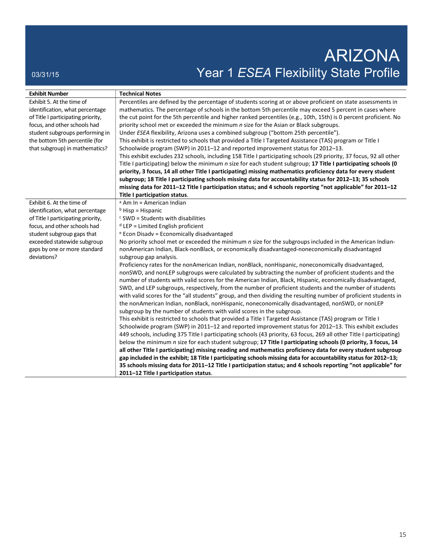# ARIZONA 03/31/15 03/31/15 ON DESEA Flexibility State Profile

| <b>Exhibit Number</b>              | <b>Technical Notes</b>                                                                                                |
|------------------------------------|-----------------------------------------------------------------------------------------------------------------------|
| Exhibit 5. At the time of          | Percentiles are defined by the percentage of students scoring at or above proficient on state assessments in          |
| identification, what percentage    | mathematics. The percentage of schools in the bottom 5th percentile may exceed 5 percent in cases where               |
| of Title I participating priority, | the cut point for the 5th percentile and higher ranked percentiles (e.g., 10th, 15th) is 0 percent proficient. No     |
| focus, and other schools had       | priority school met or exceeded the minimum n size for the Asian or Black subgroups.                                  |
| student subgroups performing in    | Under ESEA flexibility, Arizona uses a combined subgroup ("bottom 25th percentile").                                  |
| the bottom 5th percentile (for     | This exhibit is restricted to schools that provided a Title I Targeted Assistance (TAS) program or Title I            |
| that subgroup) in mathematics?     | Schoolwide program (SWP) in 2011–12 and reported improvement status for 2012–13.                                      |
|                                    | This exhibit excludes 232 schools, including 158 Title I participating schools (29 priority, 37 focus, 92 all other   |
|                                    | Title I participating) below the minimum n size for each student subgroup; 17 Title I participating schools (0        |
|                                    | priority, 3 focus, 14 all other Title I participating) missing mathematics proficiency data for every student         |
|                                    | subgroup; 18 Title I participating schools missing data for accountability status for 2012-13; 35 schools             |
|                                    | missing data for 2011-12 Title I participation status; and 4 schools reporting "not applicable" for 2011-12           |
|                                    | Title I participation status.                                                                                         |
| Exhibit 6. At the time of          | <sup>a</sup> Am In = American Indian                                                                                  |
| identification, what percentage    | $b$ Hisp = Hispanic                                                                                                   |
| of Title I participating priority, | $c$ SWD = Students with disabilities                                                                                  |
| focus, and other schools had       | $d$ LEP = Limited English proficient                                                                                  |
| student subgroup gaps that         | e Econ Disadv = Economically disadvantaged                                                                            |
| exceeded statewide subgroup        | No priority school met or exceeded the minimum n size for the subgroups included in the American Indian-              |
| gaps by one or more standard       | nonAmerican Indian, Black-nonBlack, or economically disadvantaged-noneconomically disadvantaged                       |
| deviations?                        | subgroup gap analysis.                                                                                                |
|                                    | Proficiency rates for the nonAmerican Indian, nonBlack, nonHispanic, noneconomically disadvantaged,                   |
|                                    | nonSWD, and nonLEP subgroups were calculated by subtracting the number of proficient students and the                 |
|                                    | number of students with valid scores for the American Indian, Black, Hispanic, economically disadvantaged,            |
|                                    | SWD, and LEP subgroups, respectively, from the number of proficient students and the number of students               |
|                                    | with valid scores for the "all students" group, and then dividing the resulting number of proficient students in      |
|                                    | the nonAmerican Indian, nonBlack, nonHispanic, noneconomically disadvantaged, nonSWD, or nonLEP                       |
|                                    | subgroup by the number of students with valid scores in the subgroup.                                                 |
|                                    | This exhibit is restricted to schools that provided a Title I Targeted Assistance (TAS) program or Title I            |
|                                    | Schoolwide program (SWP) in 2011–12 and reported improvement status for 2012–13. This exhibit excludes                |
|                                    | 449 schools, including 375 Title I participating schools (43 priority, 63 focus, 269 all other Title I participating) |
|                                    | below the minimum n size for each student subgroup; 17 Title I participating schools (0 priority, 3 focus, 14         |
|                                    | all other Title I participating) missing reading and mathematics proficiency data for every student subgroup          |
|                                    | gap included in the exhibit; 18 Title I participating schools missing data for accountability status for 2012-13;     |
|                                    | 35 schools missing data for 2011-12 Title I participation status; and 4 schools reporting "not applicable" for        |
|                                    | 2011-12 Title I participation status.                                                                                 |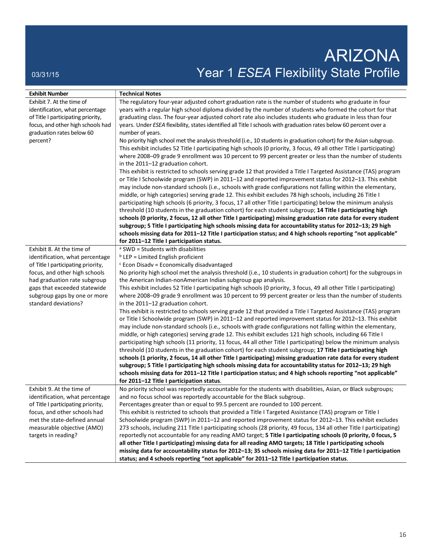# ARIZONA 03/31/15 03/31/15 Profile **Year 1** *ESEA* Flexibility State Profile

| Exhibit 7. At the time of<br>The regulatory four-year adjusted cohort graduation rate is the number of students who graduate in four<br>years with a regular high school diploma divided by the number of students who formed the cohort for that<br>identification, what percentage<br>graduating class. The four-year adjusted cohort rate also includes students who graduate in less than four<br>of Title I participating priority,<br>focus, and other high schools had<br>years. Under ESEA flexibility, states identified all Title I schools with graduation rates below 60 percent over a<br>graduation rates below 60<br>number of years.<br>percent?<br>No priority high school met the analysis threshold (i.e., 10 students in graduation cohort) for the Asian subgroup.<br>This exhibit includes 52 Title I participating high schools (0 priority, 3 focus, 49 all other Title I participating)<br>where 2008-09 grade 9 enrollment was 10 percent to 99 percent greater or less than the number of students<br>in the 2011-12 graduation cohort.<br>This exhibit is restricted to schools serving grade 12 that provided a Title I Targeted Assistance (TAS) program<br>or Title I Schoolwide program (SWP) in 2011-12 and reported improvement status for 2012-13. This exhibit<br>may include non-standard schools (i.e., schools with grade configurations not falling within the elementary,<br>middle, or high categories) serving grade 12. This exhibit excludes 78 high schools, including 26 Title I<br>participating high schools (6 priority, 3 focus, 17 all other Title I participating) below the minimum analysis<br>threshold (10 students in the graduation cohort) for each student subgroup; 14 Title I participating high<br>schools (0 priority, 2 focus, 12 all other Title I participating) missing graduation rate data for every student<br>subgroup; 5 Title I participating high schools missing data for accountability status for 2012-13; 29 high<br>schools missing data for 2011-12 Title I participation status; and 4 high schools reporting "not applicable"<br>for 2011-12 Title I participation status. | <b>Exhibit Number</b> | <b>Technical Notes</b> |
|----------------------------------------------------------------------------------------------------------------------------------------------------------------------------------------------------------------------------------------------------------------------------------------------------------------------------------------------------------------------------------------------------------------------------------------------------------------------------------------------------------------------------------------------------------------------------------------------------------------------------------------------------------------------------------------------------------------------------------------------------------------------------------------------------------------------------------------------------------------------------------------------------------------------------------------------------------------------------------------------------------------------------------------------------------------------------------------------------------------------------------------------------------------------------------------------------------------------------------------------------------------------------------------------------------------------------------------------------------------------------------------------------------------------------------------------------------------------------------------------------------------------------------------------------------------------------------------------------------------------------------------------------------------------------------------------------------------------------------------------------------------------------------------------------------------------------------------------------------------------------------------------------------------------------------------------------------------------------------------------------------------------------------------------------------------------------------------------------------------------------------------------------------------|-----------------------|------------------------|
|                                                                                                                                                                                                                                                                                                                                                                                                                                                                                                                                                                                                                                                                                                                                                                                                                                                                                                                                                                                                                                                                                                                                                                                                                                                                                                                                                                                                                                                                                                                                                                                                                                                                                                                                                                                                                                                                                                                                                                                                                                                                                                                                                                |                       |                        |
|                                                                                                                                                                                                                                                                                                                                                                                                                                                                                                                                                                                                                                                                                                                                                                                                                                                                                                                                                                                                                                                                                                                                                                                                                                                                                                                                                                                                                                                                                                                                                                                                                                                                                                                                                                                                                                                                                                                                                                                                                                                                                                                                                                |                       |                        |
|                                                                                                                                                                                                                                                                                                                                                                                                                                                                                                                                                                                                                                                                                                                                                                                                                                                                                                                                                                                                                                                                                                                                                                                                                                                                                                                                                                                                                                                                                                                                                                                                                                                                                                                                                                                                                                                                                                                                                                                                                                                                                                                                                                |                       |                        |
|                                                                                                                                                                                                                                                                                                                                                                                                                                                                                                                                                                                                                                                                                                                                                                                                                                                                                                                                                                                                                                                                                                                                                                                                                                                                                                                                                                                                                                                                                                                                                                                                                                                                                                                                                                                                                                                                                                                                                                                                                                                                                                                                                                |                       |                        |
|                                                                                                                                                                                                                                                                                                                                                                                                                                                                                                                                                                                                                                                                                                                                                                                                                                                                                                                                                                                                                                                                                                                                                                                                                                                                                                                                                                                                                                                                                                                                                                                                                                                                                                                                                                                                                                                                                                                                                                                                                                                                                                                                                                |                       |                        |
|                                                                                                                                                                                                                                                                                                                                                                                                                                                                                                                                                                                                                                                                                                                                                                                                                                                                                                                                                                                                                                                                                                                                                                                                                                                                                                                                                                                                                                                                                                                                                                                                                                                                                                                                                                                                                                                                                                                                                                                                                                                                                                                                                                |                       |                        |
|                                                                                                                                                                                                                                                                                                                                                                                                                                                                                                                                                                                                                                                                                                                                                                                                                                                                                                                                                                                                                                                                                                                                                                                                                                                                                                                                                                                                                                                                                                                                                                                                                                                                                                                                                                                                                                                                                                                                                                                                                                                                                                                                                                |                       |                        |
|                                                                                                                                                                                                                                                                                                                                                                                                                                                                                                                                                                                                                                                                                                                                                                                                                                                                                                                                                                                                                                                                                                                                                                                                                                                                                                                                                                                                                                                                                                                                                                                                                                                                                                                                                                                                                                                                                                                                                                                                                                                                                                                                                                |                       |                        |
|                                                                                                                                                                                                                                                                                                                                                                                                                                                                                                                                                                                                                                                                                                                                                                                                                                                                                                                                                                                                                                                                                                                                                                                                                                                                                                                                                                                                                                                                                                                                                                                                                                                                                                                                                                                                                                                                                                                                                                                                                                                                                                                                                                |                       |                        |
|                                                                                                                                                                                                                                                                                                                                                                                                                                                                                                                                                                                                                                                                                                                                                                                                                                                                                                                                                                                                                                                                                                                                                                                                                                                                                                                                                                                                                                                                                                                                                                                                                                                                                                                                                                                                                                                                                                                                                                                                                                                                                                                                                                |                       |                        |
|                                                                                                                                                                                                                                                                                                                                                                                                                                                                                                                                                                                                                                                                                                                                                                                                                                                                                                                                                                                                                                                                                                                                                                                                                                                                                                                                                                                                                                                                                                                                                                                                                                                                                                                                                                                                                                                                                                                                                                                                                                                                                                                                                                |                       |                        |
|                                                                                                                                                                                                                                                                                                                                                                                                                                                                                                                                                                                                                                                                                                                                                                                                                                                                                                                                                                                                                                                                                                                                                                                                                                                                                                                                                                                                                                                                                                                                                                                                                                                                                                                                                                                                                                                                                                                                                                                                                                                                                                                                                                |                       |                        |
|                                                                                                                                                                                                                                                                                                                                                                                                                                                                                                                                                                                                                                                                                                                                                                                                                                                                                                                                                                                                                                                                                                                                                                                                                                                                                                                                                                                                                                                                                                                                                                                                                                                                                                                                                                                                                                                                                                                                                                                                                                                                                                                                                                |                       |                        |
|                                                                                                                                                                                                                                                                                                                                                                                                                                                                                                                                                                                                                                                                                                                                                                                                                                                                                                                                                                                                                                                                                                                                                                                                                                                                                                                                                                                                                                                                                                                                                                                                                                                                                                                                                                                                                                                                                                                                                                                                                                                                                                                                                                |                       |                        |
|                                                                                                                                                                                                                                                                                                                                                                                                                                                                                                                                                                                                                                                                                                                                                                                                                                                                                                                                                                                                                                                                                                                                                                                                                                                                                                                                                                                                                                                                                                                                                                                                                                                                                                                                                                                                                                                                                                                                                                                                                                                                                                                                                                |                       |                        |
|                                                                                                                                                                                                                                                                                                                                                                                                                                                                                                                                                                                                                                                                                                                                                                                                                                                                                                                                                                                                                                                                                                                                                                                                                                                                                                                                                                                                                                                                                                                                                                                                                                                                                                                                                                                                                                                                                                                                                                                                                                                                                                                                                                |                       |                        |
|                                                                                                                                                                                                                                                                                                                                                                                                                                                                                                                                                                                                                                                                                                                                                                                                                                                                                                                                                                                                                                                                                                                                                                                                                                                                                                                                                                                                                                                                                                                                                                                                                                                                                                                                                                                                                                                                                                                                                                                                                                                                                                                                                                |                       |                        |
|                                                                                                                                                                                                                                                                                                                                                                                                                                                                                                                                                                                                                                                                                                                                                                                                                                                                                                                                                                                                                                                                                                                                                                                                                                                                                                                                                                                                                                                                                                                                                                                                                                                                                                                                                                                                                                                                                                                                                                                                                                                                                                                                                                |                       |                        |
| Exhibit 8. At the time of<br>a SWD = Students with disabilities                                                                                                                                                                                                                                                                                                                                                                                                                                                                                                                                                                                                                                                                                                                                                                                                                                                                                                                                                                                                                                                                                                                                                                                                                                                                                                                                                                                                                                                                                                                                                                                                                                                                                                                                                                                                                                                                                                                                                                                                                                                                                                |                       |                        |
| identification, what percentage<br>$b$ LEP = Limited English proficient                                                                                                                                                                                                                                                                                                                                                                                                                                                                                                                                                                                                                                                                                                                                                                                                                                                                                                                                                                                                                                                                                                                                                                                                                                                                                                                                                                                                                                                                                                                                                                                                                                                                                                                                                                                                                                                                                                                                                                                                                                                                                        |                       |                        |
| of Title I participating priority,<br>$c$ Econ Disadv = Economically disadvantaged                                                                                                                                                                                                                                                                                                                                                                                                                                                                                                                                                                                                                                                                                                                                                                                                                                                                                                                                                                                                                                                                                                                                                                                                                                                                                                                                                                                                                                                                                                                                                                                                                                                                                                                                                                                                                                                                                                                                                                                                                                                                             |                       |                        |
| focus, and other high schools<br>No priority high school met the analysis threshold (i.e., 10 students in graduation cohort) for the subgroups in                                                                                                                                                                                                                                                                                                                                                                                                                                                                                                                                                                                                                                                                                                                                                                                                                                                                                                                                                                                                                                                                                                                                                                                                                                                                                                                                                                                                                                                                                                                                                                                                                                                                                                                                                                                                                                                                                                                                                                                                              |                       |                        |
| had graduation rate subgroup<br>the American Indian-nonAmerican Indian subgroup gap analysis.                                                                                                                                                                                                                                                                                                                                                                                                                                                                                                                                                                                                                                                                                                                                                                                                                                                                                                                                                                                                                                                                                                                                                                                                                                                                                                                                                                                                                                                                                                                                                                                                                                                                                                                                                                                                                                                                                                                                                                                                                                                                  |                       |                        |
| This exhibit includes 52 Title I participating high schools (0 priority, 3 focus, 49 all other Title I participating)<br>gaps that exceeded statewide                                                                                                                                                                                                                                                                                                                                                                                                                                                                                                                                                                                                                                                                                                                                                                                                                                                                                                                                                                                                                                                                                                                                                                                                                                                                                                                                                                                                                                                                                                                                                                                                                                                                                                                                                                                                                                                                                                                                                                                                          |                       |                        |
| subgroup gaps by one or more<br>where 2008-09 grade 9 enrollment was 10 percent to 99 percent greater or less than the number of students                                                                                                                                                                                                                                                                                                                                                                                                                                                                                                                                                                                                                                                                                                                                                                                                                                                                                                                                                                                                                                                                                                                                                                                                                                                                                                                                                                                                                                                                                                                                                                                                                                                                                                                                                                                                                                                                                                                                                                                                                      |                       |                        |
| standard deviations?<br>in the 2011-12 graduation cohort.                                                                                                                                                                                                                                                                                                                                                                                                                                                                                                                                                                                                                                                                                                                                                                                                                                                                                                                                                                                                                                                                                                                                                                                                                                                                                                                                                                                                                                                                                                                                                                                                                                                                                                                                                                                                                                                                                                                                                                                                                                                                                                      |                       |                        |
| This exhibit is restricted to schools serving grade 12 that provided a Title I Targeted Assistance (TAS) program                                                                                                                                                                                                                                                                                                                                                                                                                                                                                                                                                                                                                                                                                                                                                                                                                                                                                                                                                                                                                                                                                                                                                                                                                                                                                                                                                                                                                                                                                                                                                                                                                                                                                                                                                                                                                                                                                                                                                                                                                                               |                       |                        |
| or Title I Schoolwide program (SWP) in 2011–12 and reported improvement status for 2012–13. This exhibit                                                                                                                                                                                                                                                                                                                                                                                                                                                                                                                                                                                                                                                                                                                                                                                                                                                                                                                                                                                                                                                                                                                                                                                                                                                                                                                                                                                                                                                                                                                                                                                                                                                                                                                                                                                                                                                                                                                                                                                                                                                       |                       |                        |
| may include non-standard schools (i.e., schools with grade configurations not falling within the elementary,                                                                                                                                                                                                                                                                                                                                                                                                                                                                                                                                                                                                                                                                                                                                                                                                                                                                                                                                                                                                                                                                                                                                                                                                                                                                                                                                                                                                                                                                                                                                                                                                                                                                                                                                                                                                                                                                                                                                                                                                                                                   |                       |                        |
| middle, or high categories) serving grade 12. This exhibit excludes 121 high schools, including 66 Title I                                                                                                                                                                                                                                                                                                                                                                                                                                                                                                                                                                                                                                                                                                                                                                                                                                                                                                                                                                                                                                                                                                                                                                                                                                                                                                                                                                                                                                                                                                                                                                                                                                                                                                                                                                                                                                                                                                                                                                                                                                                     |                       |                        |
| participating high schools (11 priority, 11 focus, 44 all other Title I participating) below the minimum analysis                                                                                                                                                                                                                                                                                                                                                                                                                                                                                                                                                                                                                                                                                                                                                                                                                                                                                                                                                                                                                                                                                                                                                                                                                                                                                                                                                                                                                                                                                                                                                                                                                                                                                                                                                                                                                                                                                                                                                                                                                                              |                       |                        |
| threshold (10 students in the graduation cohort) for each student subgroup; 17 Title I participating high                                                                                                                                                                                                                                                                                                                                                                                                                                                                                                                                                                                                                                                                                                                                                                                                                                                                                                                                                                                                                                                                                                                                                                                                                                                                                                                                                                                                                                                                                                                                                                                                                                                                                                                                                                                                                                                                                                                                                                                                                                                      |                       |                        |
| schools (1 priority, 2 focus, 14 all other Title I participating) missing graduation rate data for every student                                                                                                                                                                                                                                                                                                                                                                                                                                                                                                                                                                                                                                                                                                                                                                                                                                                                                                                                                                                                                                                                                                                                                                                                                                                                                                                                                                                                                                                                                                                                                                                                                                                                                                                                                                                                                                                                                                                                                                                                                                               |                       |                        |
| subgroup; 5 Title I participating high schools missing data for accountability status for 2012-13; 29 high                                                                                                                                                                                                                                                                                                                                                                                                                                                                                                                                                                                                                                                                                                                                                                                                                                                                                                                                                                                                                                                                                                                                                                                                                                                                                                                                                                                                                                                                                                                                                                                                                                                                                                                                                                                                                                                                                                                                                                                                                                                     |                       |                        |
| schools missing data for 2011-12 Title I participation status; and 4 high schools reporting "not applicable"                                                                                                                                                                                                                                                                                                                                                                                                                                                                                                                                                                                                                                                                                                                                                                                                                                                                                                                                                                                                                                                                                                                                                                                                                                                                                                                                                                                                                                                                                                                                                                                                                                                                                                                                                                                                                                                                                                                                                                                                                                                   |                       |                        |
| for 2011-12 Title I participation status.                                                                                                                                                                                                                                                                                                                                                                                                                                                                                                                                                                                                                                                                                                                                                                                                                                                                                                                                                                                                                                                                                                                                                                                                                                                                                                                                                                                                                                                                                                                                                                                                                                                                                                                                                                                                                                                                                                                                                                                                                                                                                                                      |                       |                        |
| Exhibit 9. At the time of<br>No priority school was reportedly accountable for the students with disabilities, Asian, or Black subgroups;                                                                                                                                                                                                                                                                                                                                                                                                                                                                                                                                                                                                                                                                                                                                                                                                                                                                                                                                                                                                                                                                                                                                                                                                                                                                                                                                                                                                                                                                                                                                                                                                                                                                                                                                                                                                                                                                                                                                                                                                                      |                       |                        |
| and no focus school was reportedly accountable for the Black subgroup.<br>identification, what percentage                                                                                                                                                                                                                                                                                                                                                                                                                                                                                                                                                                                                                                                                                                                                                                                                                                                                                                                                                                                                                                                                                                                                                                                                                                                                                                                                                                                                                                                                                                                                                                                                                                                                                                                                                                                                                                                                                                                                                                                                                                                      |                       |                        |
| Percentages greater than or equal to 99.5 percent are rounded to 100 percent.<br>of Title I participating priority,                                                                                                                                                                                                                                                                                                                                                                                                                                                                                                                                                                                                                                                                                                                                                                                                                                                                                                                                                                                                                                                                                                                                                                                                                                                                                                                                                                                                                                                                                                                                                                                                                                                                                                                                                                                                                                                                                                                                                                                                                                            |                       |                        |
| This exhibit is restricted to schools that provided a Title I Targeted Assistance (TAS) program or Title I<br>focus, and other schools had                                                                                                                                                                                                                                                                                                                                                                                                                                                                                                                                                                                                                                                                                                                                                                                                                                                                                                                                                                                                                                                                                                                                                                                                                                                                                                                                                                                                                                                                                                                                                                                                                                                                                                                                                                                                                                                                                                                                                                                                                     |                       |                        |
| met the state-defined annual<br>Schoolwide program (SWP) in 2011-12 and reported improvement status for 2012-13. This exhibit excludes                                                                                                                                                                                                                                                                                                                                                                                                                                                                                                                                                                                                                                                                                                                                                                                                                                                                                                                                                                                                                                                                                                                                                                                                                                                                                                                                                                                                                                                                                                                                                                                                                                                                                                                                                                                                                                                                                                                                                                                                                         |                       |                        |
| 273 schools, including 211 Title I participating schools (28 priority, 49 focus, 134 all other Title I participating)<br>measurable objective (AMO)<br>targets in reading?                                                                                                                                                                                                                                                                                                                                                                                                                                                                                                                                                                                                                                                                                                                                                                                                                                                                                                                                                                                                                                                                                                                                                                                                                                                                                                                                                                                                                                                                                                                                                                                                                                                                                                                                                                                                                                                                                                                                                                                     |                       |                        |
| reportedly not accountable for any reading AMO target; 5 Title I participating schools (0 priority, 0 focus, 5                                                                                                                                                                                                                                                                                                                                                                                                                                                                                                                                                                                                                                                                                                                                                                                                                                                                                                                                                                                                                                                                                                                                                                                                                                                                                                                                                                                                                                                                                                                                                                                                                                                                                                                                                                                                                                                                                                                                                                                                                                                 |                       |                        |
| all other Title I participating) missing data for all reading AMO targets; 18 Title I participating schools<br>missing data for accountability status for 2012-13; 35 schools missing data for 2011-12 Title I participation                                                                                                                                                                                                                                                                                                                                                                                                                                                                                                                                                                                                                                                                                                                                                                                                                                                                                                                                                                                                                                                                                                                                                                                                                                                                                                                                                                                                                                                                                                                                                                                                                                                                                                                                                                                                                                                                                                                                   |                       |                        |
| status; and 4 schools reporting "not applicable" for 2011-12 Title I participation status.                                                                                                                                                                                                                                                                                                                                                                                                                                                                                                                                                                                                                                                                                                                                                                                                                                                                                                                                                                                                                                                                                                                                                                                                                                                                                                                                                                                                                                                                                                                                                                                                                                                                                                                                                                                                                                                                                                                                                                                                                                                                     |                       |                        |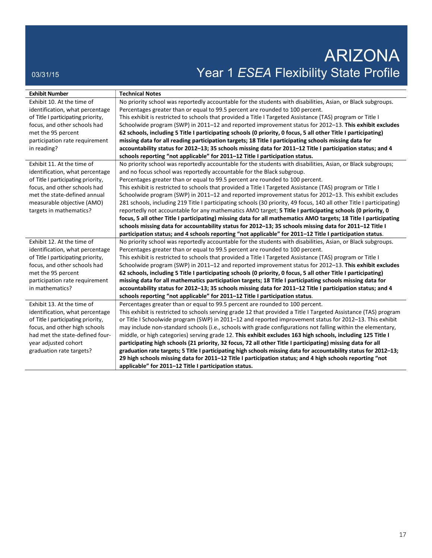# ARIZONA 03/31/15 03/31/15 Profile Profile Profile Profile Profile Profile Profile Profile Profile Profile Profile Profile

| <b>Exhibit Number</b>              | <b>Technical Notes</b>                                                                                                |
|------------------------------------|-----------------------------------------------------------------------------------------------------------------------|
| Exhibit 10. At the time of         | No priority school was reportedly accountable for the students with disabilities, Asian, or Black subgroups.          |
| identification, what percentage    | Percentages greater than or equal to 99.5 percent are rounded to 100 percent.                                         |
|                                    |                                                                                                                       |
| of Title I participating priority, | This exhibit is restricted to schools that provided a Title I Targeted Assistance (TAS) program or Title I            |
| focus, and other schools had       | Schoolwide program (SWP) in 2011–12 and reported improvement status for 2012–13. This exhibit excludes                |
| met the 95 percent                 | 62 schools, including 5 Title I participating schools (0 priority, 0 focus, 5 all other Title I participating)        |
| participation rate requirement     | missing data for all reading participation targets; 18 Title I participating schools missing data for                 |
| in reading?                        | accountability status for 2012-13; 35 schools missing data for 2011-12 Title I participation status; and 4            |
|                                    | schools reporting "not applicable" for 2011-12 Title I participation status.                                          |
| Exhibit 11. At the time of         | No priority school was reportedly accountable for the students with disabilities, Asian, or Black subgroups;          |
| identification, what percentage    | and no focus school was reportedly accountable for the Black subgroup.                                                |
| of Title I participating priority, | Percentages greater than or equal to 99.5 percent are rounded to 100 percent.                                         |
| focus, and other schools had       | This exhibit is restricted to schools that provided a Title I Targeted Assistance (TAS) program or Title I            |
| met the state-defined annual       | Schoolwide program (SWP) in 2011-12 and reported improvement status for 2012-13. This exhibit excludes                |
| measurable objective (AMO)         | 281 schools, including 219 Title I participating schools (30 priority, 49 focus, 140 all other Title I participating) |
| targets in mathematics?            | reportedly not accountable for any mathematics AMO target; 5 Title I participating schools (0 priority, 0             |
|                                    | focus, 5 all other Title I participating) missing data for all mathematics AMO targets; 18 Title I participating      |
|                                    | schools missing data for accountability status for 2012-13; 35 schools missing data for 2011-12 Title I               |
|                                    | participation status; and 4 schools reporting "not applicable" for 2011-12 Title I participation status.              |
| Exhibit 12. At the time of         | No priority school was reportedly accountable for the students with disabilities, Asian, or Black subgroups.          |
| identification, what percentage    | Percentages greater than or equal to 99.5 percent are rounded to 100 percent.                                         |
| of Title I participating priority, | This exhibit is restricted to schools that provided a Title I Targeted Assistance (TAS) program or Title I            |
| focus, and other schools had       | Schoolwide program (SWP) in 2011-12 and reported improvement status for 2012-13. This exhibit excludes                |
| met the 95 percent                 | 62 schools, including 5 Title I participating schools (0 priority, 0 focus, 5 all other Title I participating)        |
| participation rate requirement     | missing data for all mathematics participation targets; 18 Title I participating schools missing data for             |
| in mathematics?                    | accountability status for 2012-13; 35 schools missing data for 2011-12 Title I participation status; and 4            |
|                                    | schools reporting "not applicable" for 2011-12 Title I participation status.                                          |
| Exhibit 13. At the time of         | Percentages greater than or equal to 99.5 percent are rounded to 100 percent.                                         |
| identification, what percentage    | This exhibit is restricted to schools serving grade 12 that provided a Title I Targeted Assistance (TAS) program      |
| of Title I participating priority, | or Title I Schoolwide program (SWP) in 2011-12 and reported improvement status for 2012-13. This exhibit              |
| focus, and other high schools      | may include non-standard schools (i.e., schools with grade configurations not falling within the elementary,          |
| had met the state-defined four-    | middle, or high categories) serving grade 12. This exhibit excludes 163 high schools, including 125 Title I           |
| year adjusted cohort               | participating high schools (21 priority, 32 focus, 72 all other Title I participating) missing data for all           |
| graduation rate targets?           | graduation rate targets; 5 Title I participating high schools missing data for accountability status for 2012-13;     |
|                                    | 29 high schools missing data for 2011-12 Title I participation status; and 4 high schools reporting "not              |
|                                    | applicable" for 2011-12 Title I participation status.                                                                 |
|                                    |                                                                                                                       |